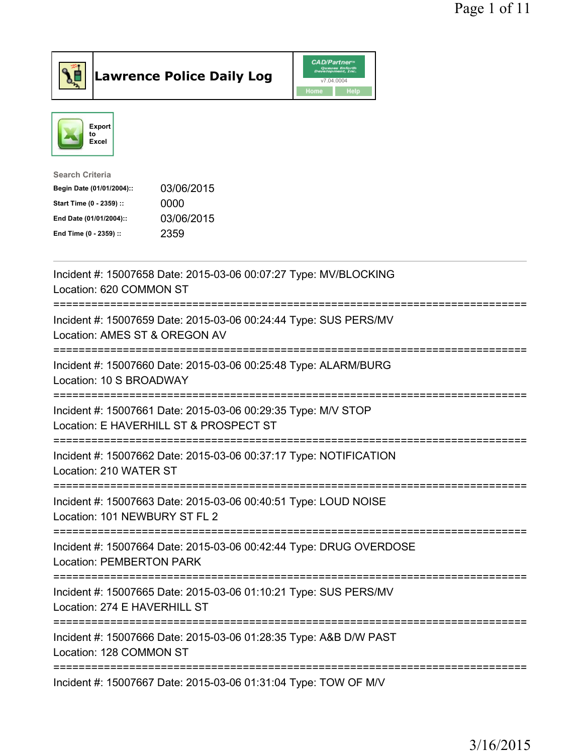

Lawrence Police Daily Log CAD/Partners



| Search Criteria           |            |
|---------------------------|------------|
| Begin Date (01/01/2004):: | 03/06/2015 |
| Start Time (0 - 2359) ::  | 0000       |
| End Date (01/01/2004)::   | 03/06/2015 |
| End Time (0 - 2359) ::    | 2359       |
|                           |            |

| Incident #: 15007658 Date: 2015-03-06 00:07:27 Type: MV/BLOCKING<br>Location: 620 COMMON ST                                                 |
|---------------------------------------------------------------------------------------------------------------------------------------------|
| Incident #: 15007659 Date: 2015-03-06 00:24:44 Type: SUS PERS/MV<br>Location: AMES ST & OREGON AV                                           |
| Incident #: 15007660 Date: 2015-03-06 00:25:48 Type: ALARM/BURG<br>Location: 10 S BROADWAY                                                  |
| Incident #: 15007661 Date: 2015-03-06 00:29:35 Type: M/V STOP<br>Location: E HAVERHILL ST & PROSPECT ST                                     |
| Incident #: 15007662 Date: 2015-03-06 00:37:17 Type: NOTIFICATION<br>Location: 210 WATER ST                                                 |
| Incident #: 15007663 Date: 2015-03-06 00:40:51 Type: LOUD NOISE<br>Location: 101 NEWBURY ST FL 2                                            |
| Incident #: 15007664 Date: 2015-03-06 00:42:44 Type: DRUG OVERDOSE<br><b>Location: PEMBERTON PARK</b><br>====================<br>---------- |
| Incident #: 15007665 Date: 2015-03-06 01:10:21 Type: SUS PERS/MV<br>Location: 274 E HAVERHILL ST                                            |
| Incident #: 15007666 Date: 2015-03-06 01:28:35 Type: A&B D/W PAST<br>Location: 128 COMMON ST                                                |
| Incident #: 15007667 Date: 2015-03-06 01:31:04 Type: TOW OF M/V                                                                             |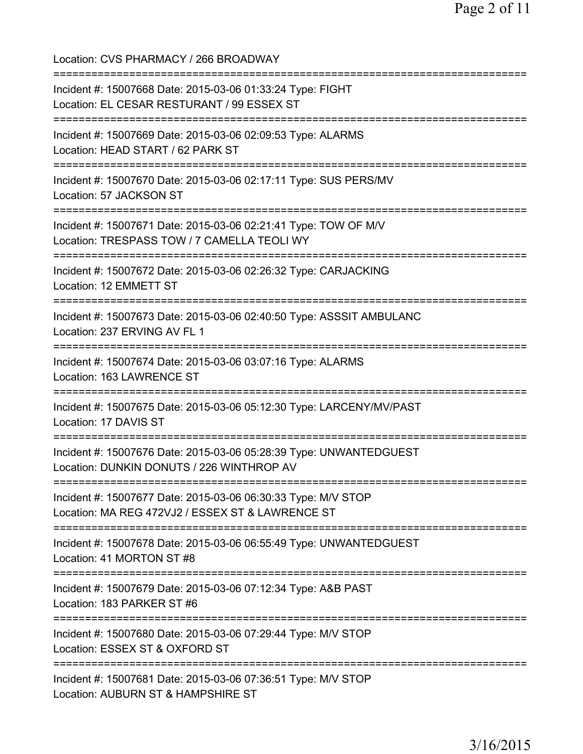Location: CVS PHARMACY / 266 BROADWAY =========================================================================== Incident #: 15007668 Date: 2015-03-06 01:33:24 Type: FIGHT Location: EL CESAR RESTURANT / 99 ESSEX ST =========================================================================== Incident #: 15007669 Date: 2015-03-06 02:09:53 Type: ALARMS Location: HEAD START / 62 PARK ST =========================================================================== Incident #: 15007670 Date: 2015-03-06 02:17:11 Type: SUS PERS/MV Location: 57 JACKSON ST =========================================================================== Incident #: 15007671 Date: 2015-03-06 02:21:41 Type: TOW OF M/V Location: TRESPASS TOW / 7 CAMELLA TEOLI WY =========================================================================== Incident #: 15007672 Date: 2015-03-06 02:26:32 Type: CARJACKING Location: 12 EMMETT ST =========================================================================== Incident #: 15007673 Date: 2015-03-06 02:40:50 Type: ASSSIT AMBULANC Location: 237 ERVING AV FL 1 =========================================================================== Incident #: 15007674 Date: 2015-03-06 03:07:16 Type: ALARMS Location: 163 LAWRENCE ST =========================================================================== Incident #: 15007675 Date: 2015-03-06 05:12:30 Type: LARCENY/MV/PAST Location: 17 DAVIS ST =========================================================================== Incident #: 15007676 Date: 2015-03-06 05:28:39 Type: UNWANTEDGUEST Location: DUNKIN DONUTS / 226 WINTHROP AV =========================================================================== Incident #: 15007677 Date: 2015-03-06 06:30:33 Type: M/V STOP Location: MA REG 472VJ2 / ESSEX ST & LAWRENCE ST =========================================================================== Incident #: 15007678 Date: 2015-03-06 06:55:49 Type: UNWANTEDGUEST Location: 41 MORTON ST #8 =========================================================================== Incident #: 15007679 Date: 2015-03-06 07:12:34 Type: A&B PAST Location: 183 PARKER ST #6 =========================================================================== Incident #: 15007680 Date: 2015-03-06 07:29:44 Type: M/V STOP Location: ESSEX ST & OXFORD ST =========================================================================== Incident #: 15007681 Date: 2015-03-06 07:36:51 Type: M/V STOP Location: AUBURN ST & HAMPSHIRE ST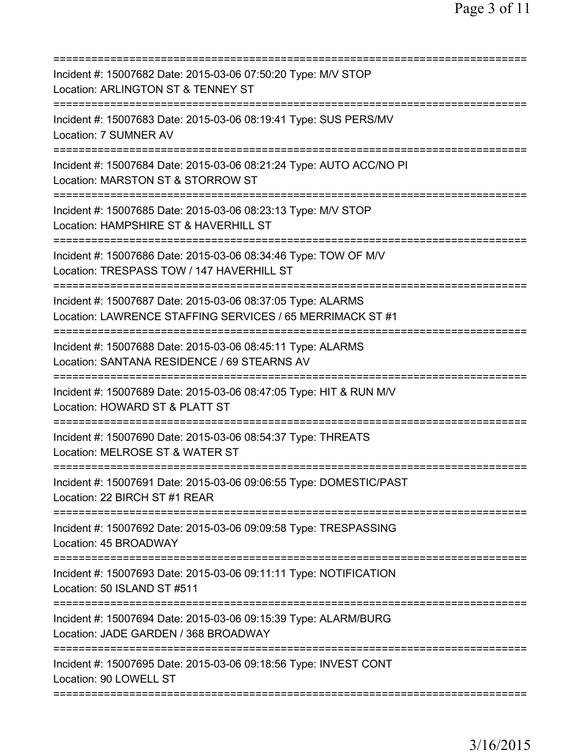| ==========================                                                                                                           |
|--------------------------------------------------------------------------------------------------------------------------------------|
| Incident #: 15007682 Date: 2015-03-06 07:50:20 Type: M/V STOP<br>Location: ARLINGTON ST & TENNEY ST                                  |
| Incident #: 15007683 Date: 2015-03-06 08:19:41 Type: SUS PERS/MV<br>Location: 7 SUMNER AV                                            |
| Incident #: 15007684 Date: 2015-03-06 08:21:24 Type: AUTO ACC/NO PI<br>Location: MARSTON ST & STORROW ST<br>====================     |
| Incident #: 15007685 Date: 2015-03-06 08:23:13 Type: M/V STOP<br>Location: HAMPSHIRE ST & HAVERHILL ST                               |
| Incident #: 15007686 Date: 2015-03-06 08:34:46 Type: TOW OF M/V<br>Location: TRESPASS TOW / 147 HAVERHILL ST                         |
| Incident #: 15007687 Date: 2015-03-06 08:37:05 Type: ALARMS<br>Location: LAWRENCE STAFFING SERVICES / 65 MERRIMACK ST #1             |
| Incident #: 15007688 Date: 2015-03-06 08:45:11 Type: ALARMS<br>Location: SANTANA RESIDENCE / 69 STEARNS AV<br>====================== |
| Incident #: 15007689 Date: 2015-03-06 08:47:05 Type: HIT & RUN M/V<br>Location: HOWARD ST & PLATT ST                                 |
| Incident #: 15007690 Date: 2015-03-06 08:54:37 Type: THREATS<br>Location: MELROSE ST & WATER ST                                      |
| Incident #: 15007691 Date: 2015-03-06 09:06:55 Type: DOMESTIC/PAST<br>Location: 22 BIRCH ST #1 REAR                                  |
| Incident #: 15007692 Date: 2015-03-06 09:09:58 Type: TRESPASSING<br>Location: 45 BROADWAY                                            |
| Incident #: 15007693 Date: 2015-03-06 09:11:11 Type: NOTIFICATION<br>Location: 50 ISLAND ST #511                                     |
| Incident #: 15007694 Date: 2015-03-06 09:15:39 Type: ALARM/BURG<br>Location: JADE GARDEN / 368 BROADWAY                              |
| Incident #: 15007695 Date: 2015-03-06 09:18:56 Type: INVEST CONT<br>Location: 90 LOWELL ST                                           |
|                                                                                                                                      |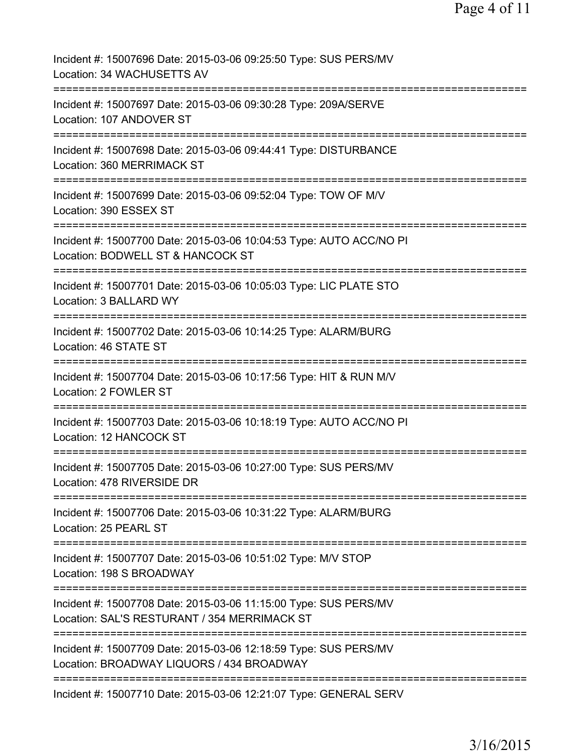| Incident #: 15007696 Date: 2015-03-06 09:25:50 Type: SUS PERS/MV<br>Location: 34 WACHUSETTS AV                                 |
|--------------------------------------------------------------------------------------------------------------------------------|
| Incident #: 15007697 Date: 2015-03-06 09:30:28 Type: 209A/SERVE<br>Location: 107 ANDOVER ST                                    |
| Incident #: 15007698 Date: 2015-03-06 09:44:41 Type: DISTURBANCE<br>Location: 360 MERRIMACK ST                                 |
| Incident #: 15007699 Date: 2015-03-06 09:52:04 Type: TOW OF M/V<br>Location: 390 ESSEX ST                                      |
| Incident #: 15007700 Date: 2015-03-06 10:04:53 Type: AUTO ACC/NO PI<br>Location: BODWELL ST & HANCOCK ST                       |
| ============================<br>Incident #: 15007701 Date: 2015-03-06 10:05:03 Type: LIC PLATE STO<br>Location: 3 BALLARD WY   |
| ==================================<br>Incident #: 15007702 Date: 2015-03-06 10:14:25 Type: ALARM/BURG<br>Location: 46 STATE ST |
| Incident #: 15007704 Date: 2015-03-06 10:17:56 Type: HIT & RUN M/V<br>Location: 2 FOWLER ST                                    |
| Incident #: 15007703 Date: 2015-03-06 10:18:19 Type: AUTO ACC/NO PI<br>Location: 12 HANCOCK ST                                 |
| Incident #: 15007705 Date: 2015-03-06 10:27:00 Type: SUS PERS/MV<br>Location: 478 RIVERSIDE DR                                 |
| Incident #: 15007706 Date: 2015-03-06 10:31:22 Type: ALARM/BURG<br>Location: 25 PEARL ST                                       |
| Incident #: 15007707 Date: 2015-03-06 10:51:02 Type: M/V STOP<br>Location: 198 S BROADWAY                                      |
| Incident #: 15007708 Date: 2015-03-06 11:15:00 Type: SUS PERS/MV<br>Location: SAL'S RESTURANT / 354 MERRIMACK ST               |
| Incident #: 15007709 Date: 2015-03-06 12:18:59 Type: SUS PERS/MV<br>Location: BROADWAY LIQUORS / 434 BROADWAY                  |
| Incident #: 15007710 Date: 2015-03-06 12:21:07 Type: GENERAL SERV                                                              |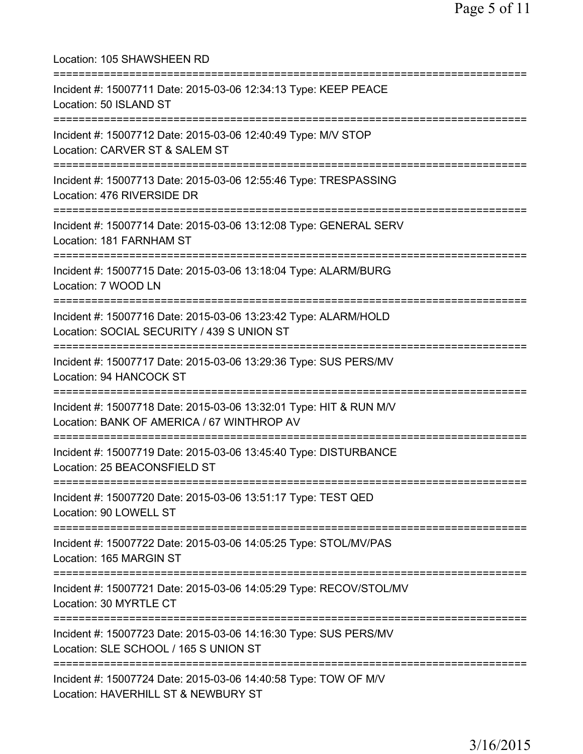| Location: 105 SHAWSHEEN RD<br>===============================                                                                                         |
|-------------------------------------------------------------------------------------------------------------------------------------------------------|
| Incident #: 15007711 Date: 2015-03-06 12:34:13 Type: KEEP PEACE<br>Location: 50 ISLAND ST                                                             |
| Incident #: 15007712 Date: 2015-03-06 12:40:49 Type: M/V STOP<br>Location: CARVER ST & SALEM ST<br>=========================                          |
| Incident #: 15007713 Date: 2015-03-06 12:55:46 Type: TRESPASSING<br>Location: 476 RIVERSIDE DR<br>========================                            |
| Incident #: 15007714 Date: 2015-03-06 13:12:08 Type: GENERAL SERV<br>Location: 181 FARNHAM ST                                                         |
| Incident #: 15007715 Date: 2015-03-06 13:18:04 Type: ALARM/BURG<br>Location: 7 WOOD LN                                                                |
| Incident #: 15007716 Date: 2015-03-06 13:23:42 Type: ALARM/HOLD<br>Location: SOCIAL SECURITY / 439 S UNION ST                                         |
| Incident #: 15007717 Date: 2015-03-06 13:29:36 Type: SUS PERS/MV<br>Location: 94 HANCOCK ST                                                           |
| Incident #: 15007718 Date: 2015-03-06 13:32:01 Type: HIT & RUN M/V<br>Location: BANK OF AMERICA / 67 WINTHROP AV                                      |
| ====================================<br>Incident #: 15007719 Date: 2015-03-06 13:45:40 Type: DISTURBANCE<br>Location: 25 BEACONSFIELD ST              |
| ======================================<br>================<br>Incident #: 15007720 Date: 2015-03-06 13:51:17 Type: TEST QED<br>Location: 90 LOWELL ST |
| Incident #: 15007722 Date: 2015-03-06 14:05:25 Type: STOL/MV/PAS<br>Location: 165 MARGIN ST                                                           |
| ;=================================<br>Incident #: 15007721 Date: 2015-03-06 14:05:29 Type: RECOV/STOL/MV<br>Location: 30 MYRTLE CT                    |
| Incident #: 15007723 Date: 2015-03-06 14:16:30 Type: SUS PERS/MV<br>Location: SLE SCHOOL / 165 S UNION ST                                             |
| Incident #: 15007724 Date: 2015-03-06 14:40:58 Type: TOW OF M/V<br>Location: HAVERHILL ST & NEWBURY ST                                                |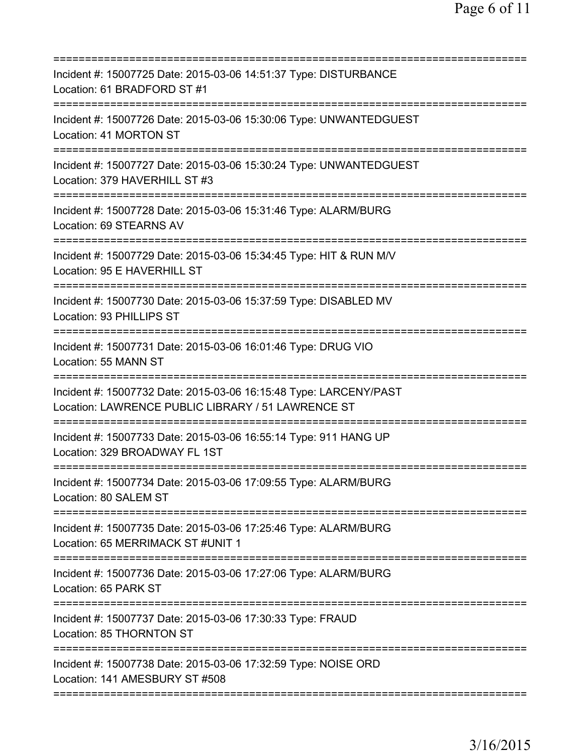| Incident #: 15007725 Date: 2015-03-06 14:51:37 Type: DISTURBANCE<br>Location: 61 BRADFORD ST #1                              |
|------------------------------------------------------------------------------------------------------------------------------|
| Incident #: 15007726 Date: 2015-03-06 15:30:06 Type: UNWANTEDGUEST<br>Location: 41 MORTON ST                                 |
| Incident #: 15007727 Date: 2015-03-06 15:30:24 Type: UNWANTEDGUEST<br>Location: 379 HAVERHILL ST #3<br>===================== |
| Incident #: 15007728 Date: 2015-03-06 15:31:46 Type: ALARM/BURG<br>Location: 69 STEARNS AV                                   |
| Incident #: 15007729 Date: 2015-03-06 15:34:45 Type: HIT & RUN M/V<br>Location: 95 E HAVERHILL ST                            |
| Incident #: 15007730 Date: 2015-03-06 15:37:59 Type: DISABLED MV<br>Location: 93 PHILLIPS ST                                 |
| Incident #: 15007731 Date: 2015-03-06 16:01:46 Type: DRUG VIO<br>Location: 55 MANN ST                                        |
| Incident #: 15007732 Date: 2015-03-06 16:15:48 Type: LARCENY/PAST<br>Location: LAWRENCE PUBLIC LIBRARY / 51 LAWRENCE ST      |
| Incident #: 15007733 Date: 2015-03-06 16:55:14 Type: 911 HANG UP<br>Location: 329 BROADWAY FL 1ST                            |
| Incident #: 15007734 Date: 2015-03-06 17:09:55 Type: ALARM/BURG<br>Location: 80 SALEM ST                                     |
| Incident #: 15007735 Date: 2015-03-06 17:25:46 Type: ALARM/BURG<br>Location: 65 MERRIMACK ST #UNIT 1                         |
| Incident #: 15007736 Date: 2015-03-06 17:27:06 Type: ALARM/BURG<br>Location: 65 PARK ST                                      |
| ============================<br>Incident #: 15007737 Date: 2015-03-06 17:30:33 Type: FRAUD<br>Location: 85 THORNTON ST       |
| Incident #: 15007738 Date: 2015-03-06 17:32:59 Type: NOISE ORD<br>Location: 141 AMESBURY ST #508                             |
|                                                                                                                              |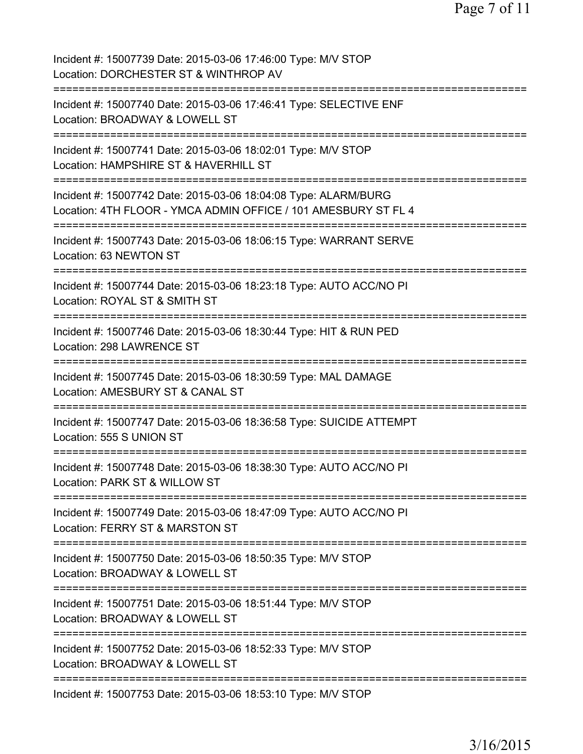| Incident #: 15007739 Date: 2015-03-06 17:46:00 Type: M/V STOP<br>Location: DORCHESTER ST & WINTHROP AV                                           |
|--------------------------------------------------------------------------------------------------------------------------------------------------|
| Incident #: 15007740 Date: 2015-03-06 17:46:41 Type: SELECTIVE ENF<br>Location: BROADWAY & LOWELL ST                                             |
| Incident #: 15007741 Date: 2015-03-06 18:02:01 Type: M/V STOP<br>Location: HAMPSHIRE ST & HAVERHILL ST                                           |
| Incident #: 15007742 Date: 2015-03-06 18:04:08 Type: ALARM/BURG<br>Location: 4TH FLOOR - YMCA ADMIN OFFICE / 101 AMESBURY ST FL 4                |
| Incident #: 15007743 Date: 2015-03-06 18:06:15 Type: WARRANT SERVE<br>Location: 63 NEWTON ST<br>================================                 |
| Incident #: 15007744 Date: 2015-03-06 18:23:18 Type: AUTO ACC/NO PI<br>Location: ROYAL ST & SMITH ST<br>:==========                              |
| Incident #: 15007746 Date: 2015-03-06 18:30:44 Type: HIT & RUN PED<br>Location: 298 LAWRENCE ST<br>:================================             |
| Incident #: 15007745 Date: 2015-03-06 18:30:59 Type: MAL DAMAGE<br>Location: AMESBURY ST & CANAL ST                                              |
| Incident #: 15007747 Date: 2015-03-06 18:36:58 Type: SUICIDE ATTEMPT<br>Location: 555 S UNION ST                                                 |
| Incident #: 15007748 Date: 2015-03-06 18:38:30 Type: AUTO ACC/NO PI<br>Location: PARK ST & WILLOW ST                                             |
| Incident #: 15007749 Date: 2015-03-06 18:47:09 Type: AUTO ACC/NO PI<br>Location: FERRY ST & MARSTON ST                                           |
| Incident #: 15007750 Date: 2015-03-06 18:50:35 Type: M/V STOP<br>Location: BROADWAY & LOWELL ST                                                  |
| Incident #: 15007751 Date: 2015-03-06 18:51:44 Type: M/V STOP<br>Location: BROADWAY & LOWELL ST<br>=============<br>============================ |
| =========================<br>Incident #: 15007752 Date: 2015-03-06 18:52:33 Type: M/V STOP<br>Location: BROADWAY & LOWELL ST                     |
| :=============<br>==========<br>Incident #: 15007753 Date: 2015-03-06 18:53:10 Type: M/V STOP                                                    |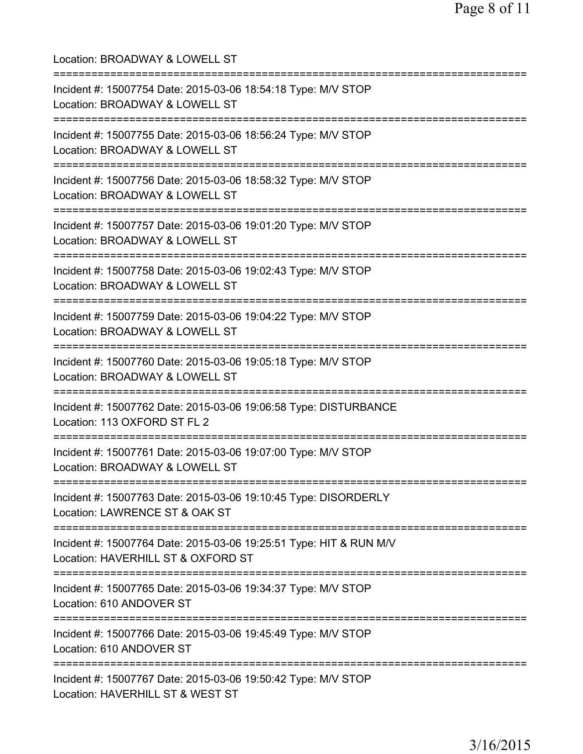| Location: BROADWAY & LOWELL ST<br>=========================                                                                               |
|-------------------------------------------------------------------------------------------------------------------------------------------|
| Incident #: 15007754 Date: 2015-03-06 18:54:18 Type: M/V STOP<br>Location: BROADWAY & LOWELL ST<br>============================           |
| Incident #: 15007755 Date: 2015-03-06 18:56:24 Type: M/V STOP<br>Location: BROADWAY & LOWELL ST                                           |
| Incident #: 15007756 Date: 2015-03-06 18:58:32 Type: M/V STOP<br>Location: BROADWAY & LOWELL ST                                           |
| :=====================<br>Incident #: 15007757 Date: 2015-03-06 19:01:20 Type: M/V STOP<br>Location: BROADWAY & LOWELL ST                 |
| :=====================<br>Incident #: 15007758 Date: 2015-03-06 19:02:43 Type: M/V STOP<br>Location: BROADWAY & LOWELL ST                 |
| ============================<br>Incident #: 15007759 Date: 2015-03-06 19:04:22 Type: M/V STOP<br>Location: BROADWAY & LOWELL ST           |
| Incident #: 15007760 Date: 2015-03-06 19:05:18 Type: M/V STOP<br>Location: BROADWAY & LOWELL ST<br>============================           |
| Incident #: 15007762 Date: 2015-03-06 19:06:58 Type: DISTURBANCE<br>Location: 113 OXFORD ST FL 2                                          |
| ===============================<br>Incident #: 15007761 Date: 2015-03-06 19:07:00 Type: M/V STOP<br>Location: BROADWAY & LOWELL ST        |
| ====================================<br>Incident #: 15007763 Date: 2015-03-06 19:10:45 Type: DISORDERLY<br>Location: LAWRENCE ST & OAK ST |
| Incident #: 15007764 Date: 2015-03-06 19:25:51 Type: HIT & RUN M/V<br>Location: HAVERHILL ST & OXFORD ST                                  |
| Incident #: 15007765 Date: 2015-03-06 19:34:37 Type: M/V STOP<br>Location: 610 ANDOVER ST                                                 |
| Incident #: 15007766 Date: 2015-03-06 19:45:49 Type: M/V STOP<br>Location: 610 ANDOVER ST                                                 |
| Incident #: 15007767 Date: 2015-03-06 19:50:42 Type: M/V STOP<br>Location: HAVERHILL ST & WEST ST                                         |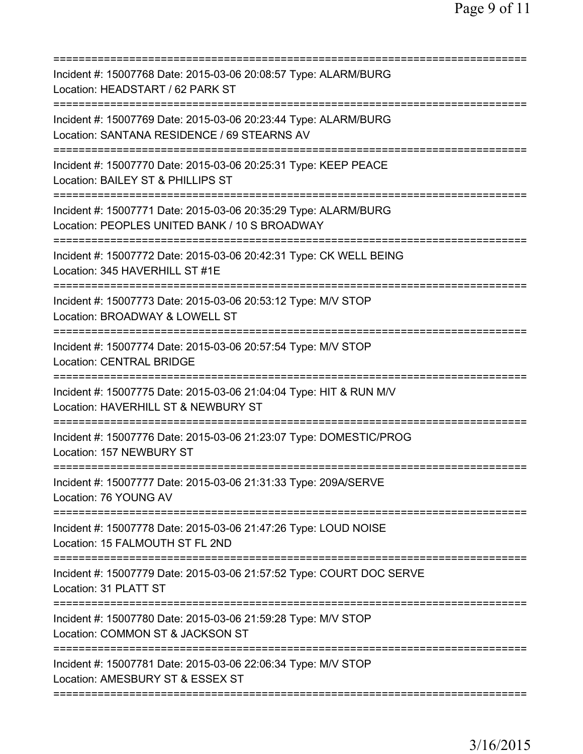| Incident #: 15007768 Date: 2015-03-06 20:08:57 Type: ALARM/BURG<br>Location: HEADSTART / 62 PARK ST                             |
|---------------------------------------------------------------------------------------------------------------------------------|
| Incident #: 15007769 Date: 2015-03-06 20:23:44 Type: ALARM/BURG<br>Location: SANTANA RESIDENCE / 69 STEARNS AV                  |
| Incident #: 15007770 Date: 2015-03-06 20:25:31 Type: KEEP PEACE<br>Location: BAILEY ST & PHILLIPS ST<br>======================= |
| Incident #: 15007771 Date: 2015-03-06 20:35:29 Type: ALARM/BURG<br>Location: PEOPLES UNITED BANK / 10 S BROADWAY                |
| Incident #: 15007772 Date: 2015-03-06 20:42:31 Type: CK WELL BEING<br>Location: 345 HAVERHILL ST #1E                            |
| .========================<br>Incident #: 15007773 Date: 2015-03-06 20:53:12 Type: M/V STOP<br>Location: BROADWAY & LOWELL ST    |
| Incident #: 15007774 Date: 2015-03-06 20:57:54 Type: M/V STOP<br><b>Location: CENTRAL BRIDGE</b>                                |
| Incident #: 15007775 Date: 2015-03-06 21:04:04 Type: HIT & RUN M/V<br>Location: HAVERHILL ST & NEWBURY ST                       |
| Incident #: 15007776 Date: 2015-03-06 21:23:07 Type: DOMESTIC/PROG<br>Location: 157 NEWBURY ST                                  |
| Incident #: 15007777 Date: 2015-03-06 21:31:33 Type: 209A/SERVE<br>Location: 76 YOUNG AV                                        |
| Incident #: 15007778 Date: 2015-03-06 21:47:26 Type: LOUD NOISE<br>Location: 15 FALMOUTH ST FL 2ND                              |
| Incident #: 15007779 Date: 2015-03-06 21:57:52 Type: COURT DOC SERVE<br>Location: 31 PLATT ST<br>:=========================     |
| Incident #: 15007780 Date: 2015-03-06 21:59:28 Type: M/V STOP<br>Location: COMMON ST & JACKSON ST                               |
| Incident #: 15007781 Date: 2015-03-06 22:06:34 Type: M/V STOP<br>Location: AMESBURY ST & ESSEX ST                               |
|                                                                                                                                 |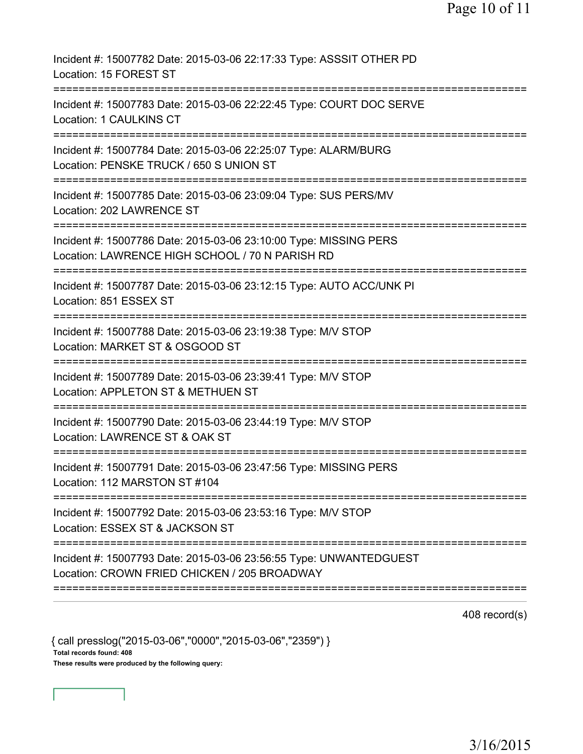| Incident #: 15007782 Date: 2015-03-06 22:17:33 Type: ASSSIT OTHER PD<br>Location: 15 FOREST ST                                  |
|---------------------------------------------------------------------------------------------------------------------------------|
| Incident #: 15007783 Date: 2015-03-06 22:22:45 Type: COURT DOC SERVE<br>Location: 1 CAULKINS CT                                 |
| Incident #: 15007784 Date: 2015-03-06 22:25:07 Type: ALARM/BURG<br>Location: PENSKE TRUCK / 650 S UNION ST                      |
| Incident #: 15007785 Date: 2015-03-06 23:09:04 Type: SUS PERS/MV<br>Location: 202 LAWRENCE ST                                   |
| Incident #: 15007786 Date: 2015-03-06 23:10:00 Type: MISSING PERS<br>Location: LAWRENCE HIGH SCHOOL / 70 N PARISH RD            |
| Incident #: 15007787 Date: 2015-03-06 23:12:15 Type: AUTO ACC/UNK PI<br>Location: 851 ESSEX ST                                  |
| Incident #: 15007788 Date: 2015-03-06 23:19:38 Type: M/V STOP<br>Location: MARKET ST & OSGOOD ST                                |
| Incident #: 15007789 Date: 2015-03-06 23:39:41 Type: M/V STOP<br>Location: APPLETON ST & METHUEN ST<br>======================== |
| Incident #: 15007790 Date: 2015-03-06 23:44:19 Type: M/V STOP<br>Location: LAWRENCE ST & OAK ST                                 |
| Incident #: 15007791 Date: 2015-03-06 23:47:56 Type: MISSING PERS<br>Location: 112 MARSTON ST #104                              |
| Incident #: 15007792 Date: 2015-03-06 23:53:16 Type: M/V STOP<br>Location: ESSEX ST & JACKSON ST                                |
| Incident #: 15007793 Date: 2015-03-06 23:56:55 Type: UNWANTEDGUEST<br>Location: CROWN FRIED CHICKEN / 205 BROADWAY              |

408 record(s)

{ call presslog("2015-03-06","0000","2015-03-06","2359") } Total records found: 408 These results were produced by the following query: